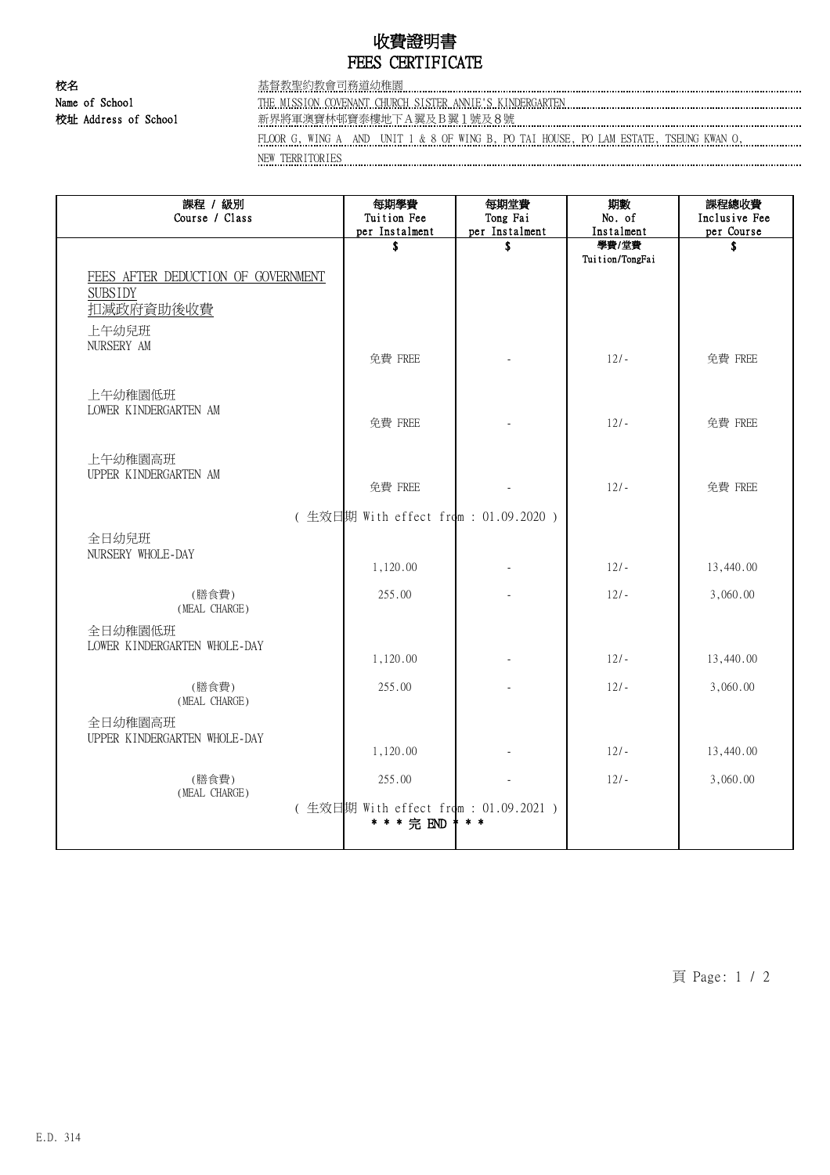## 收費證明書 FEES CERTIFICATE

校名 基督教聖約教會司務道幼稚園 Name of School THE MISSION COVENANT CHURCH SISTER ANNIE'S KINDERGARTEN

校址 Address of School 新界將軍澳寶林邨寶泰樓地下A翼及B翼1號及8號

FLOOR G, WING A AND UNIT 1 & 8 OF WING B, PO TAI HOUSE, PO LAM ESTATE, TSEUNG KWAN O, NEW TERRITORIES

| 課程 / 級別<br>Course / Class                                         | 每期學費<br>Tuition Fee<br>per Instalment               | 每期堂費<br>Tong Fai<br>per Instalment | 期數<br>No. of<br>Instalment | 課程總收費<br>Inclusive Fee<br>per Course |
|-------------------------------------------------------------------|-----------------------------------------------------|------------------------------------|----------------------------|--------------------------------------|
| FEES AFTER DEDUCTION OF GOVERNMENT<br><b>SUBSIDY</b><br>扣減政府資助後收費 | \$                                                  | \$                                 | 學費/堂費<br>Tuition/TongFai   | S                                    |
| 上午幼兒班<br>NURSERY AM                                               | 免費 FREE                                             |                                    | $12/-$                     | 免費 FREE                              |
| 上午幼稚園低班<br>LOWER KINDERGARTEN AM                                  | 免費 FREE                                             |                                    | $12/-$                     | 免費 FREE                              |
| 上午幼稚園高班<br>UPPER KINDERGARTEN AM                                  | 免費 FREE                                             |                                    | $12/-$                     | 免費 FREE                              |
|                                                                   | (生效日期 With effect from: 01.09.2020)                 |                                    |                            |                                      |
| 全日幼兒班<br>NURSERY WHOLE-DAY                                        | 1,120.00                                            |                                    | $12/-$                     | 13,440.00                            |
| (膳食費)<br>(MEAL CHARGE)                                            | 255.00                                              |                                    | $12/-$                     | 3,060.00                             |
| 全日幼稚園低班<br>LOWER KINDERGARTEN WHOLE-DAY                           | 1,120.00                                            |                                    | $12/-$                     | 13,440.00                            |
| (膳食費)                                                             | 255.00                                              |                                    | $12/-$                     | 3,060.00                             |
| (MEAL CHARGE)<br>全日幼稚園高班<br>UPPER KINDERGARTEN WHOLE-DAY          | 1,120.00                                            |                                    | $12/-$                     | 13,440.00                            |
| (膳食費)<br>(MEAL CHARGE)                                            | 255.00                                              |                                    | $12/-$                     | 3,060.00                             |
|                                                                   | (生效日期 With effect from : 01.09.2021)<br>* * * 完 END | $*$ $*$                            |                            |                                      |

頁 Page: 1 / 2